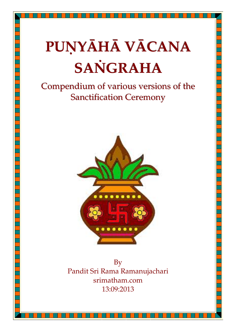# **PUṆYĀHĀ VĀCANA SAṄGRAHA**

## Compendium of various versions of the Sanctification Ceremony



By Pandit Sri Rama Ramanujachari srimatham.com 13:09:2013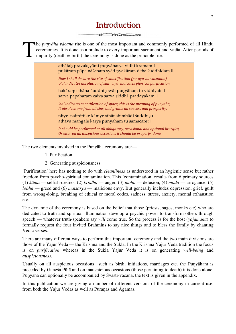### Introduction

he *puṇyāha vācana* rite is one of the most important and commonly performed of all Hindu ceremonies. It is done as a prelude to every important sacrament and yajña. After periods of impurity (death & birth) the ceremony is done as the principle rite. T

athātah pravaksyāmi punyāhasya vidhi kramam | pukāraṃ pāpa nāśanaṃ syād ṇyakāraṃ deha śuddhidam ||

*Now I shall declare the rite of sanctification (pu-nya-ha vacanam)* 'Pu' indicates absolution of sins, 'nya' indicates physical purification

hakāraṃ sthāna-śuddhiḥ syāt puṇyāhaṃ tu vidhīyate | sarva pāpaharam caiva sarva siddhi pradāyakam ||

*'ha'* indicates sanctification of space, this is the meaning of punyaha, It absolves one from all sins, and grants all success and prosperity.

nitye naimittike kāmye sthānabimbādi śuddhisu | athavā maṅgale kārye punyāham tu samācaret ||

*It should be performed at all obligatory, occasional and optional liturgies, Or else, on all auspicious occasions it should be properly done.* 

The two elements involved in the Punyāha ceremony are:—

- 1. Purification
- 2. Generating auspiciousness

'Purification' here has nothing to do with *cleanliness* as understood in an hygienic sense but rather freedom from psycho-spiritual contamination. This 'contamination' results from 6 primary sources (1) *kāma* — selfish-desires, (2) *krodha* — anger, (3) *moha* — delusion, (4) *mada* — arrogance, (5) *lobha* — greed and (6) *mātsarya* — malicious envy. But generally includes depression, grief, guilt from wrong-doing, breaking of ethical or moral codes, sadness, stress, anxiety, mental exhaustion etc.

The dynamic of the ceremony is based on the belief that those (priests, sages, monks etc) who are dedicated to truth and spiritual illumination develop a psychic power to transform others through speech — whatever truth-speakers say *will* come true. So the process is for the host (*yajamāna*) to formally request the four invited Brahmins to say nice things and to bless the family by chanting Vedic verses.

There are many different ways to perform this important ceremony and the two main divisions are those of the Yajur Veda — the Krishna and the Sukla. In the Krishna Yajur Veda tradition the focus is on *purification* whereas in the Sukla Yajur Veda it is on generating *well-being* and *auspiciousness*.

Usually on all auspicious occasions such as birth, initiations, marriages etc. the Punyāham is preceded by Gaṇeśa Pūjā and on inauspicious occasions (those pertaining to death) it is done alone. Punyāha can optionally be accompanied by Svasti-vācana, the text is given in the appendix.

In this publication we are giving a number of different versions of the ceremony in current use, from both the Yajur Vedas as well as Purāṇas and Āgamas.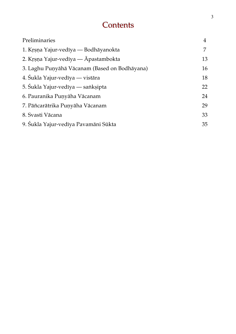### Contents

| Preliminaries                                 | 4  |
|-----------------------------------------------|----|
| 1. Krsna Yajur-vedīya — Bodhāyanokta          | 7  |
| 2. Krsna Yajur-vedīya — Āpastambokta          | 13 |
| 3. Laghu Puṇyāhā Vācanam (Based on Bodhāyana) | 16 |
| 4. Śukla Yajur-vedīya — vistāra               | 18 |
| 5. Śukla Yajur-vedīya — sanksipta             | 22 |
| 6. Pauranika Punyāha Vācanam                  | 24 |
| 7. Pāñcarātrika Puņyāha Vācanam               | 29 |
| 8. Svasti Vācana                              | 33 |
| 9. Sukla Yajur-vedīya Pavamāni Sūkta          | 35 |
|                                               |    |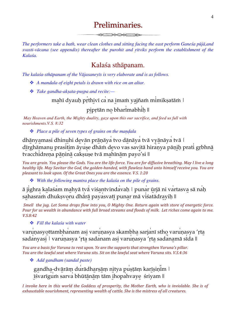### Preliminaries

*The performers take a bath, wear clean clothes and sitting facing the east perform Ganeśa pūjā,and svasti-vācana (see appendix) thereafter the purohit and ṛitviks perform the establishment of the Kalaśa.*

### Kalaśa sthāpanam.

*The kalaśa-sthāpanam of the Vājasaneyīs is very elaborate and is as follows.*

- *A mandala of eight petals is drawn with rice on an altar.*
- *Take gandha-akṣata-puṣpa and recite:—*

#### mahī dyauḥ prthivī ca na imam yajñam mimikṣatām |

### pipṛtān no bharimabhiḥ ||

 *May Heaven and Earth, the Mighty duality, gaze upon this our sacrifice, and feed us full with nourishments.V.S. 8:32*

*Place a pile of seven types of grains on the maṇḍala*

dhānyamasi dhinuhi devān prāṇāya tvo dānāya tvā vyānāya tvā | dīrghāmanu prasitim āyuṣe dhāṁ devo vas savitā hiraṇya pāṇiḥ prati gṛbhnā tvacchidrena pāninā caksuse tvā mahīnām payo'si ||

*You are grain. You please the Gods. You are the life-force. You are for diffusive breathing. May I live a long healthy life.* May Savitar the God, the golden-handed, with flawless hand unto himself receive you. You are *pleasant to look upon. Of the Great Ones you are the essence. V.S. 1:20* 

*With the following mantra place the kalaśa on the pile of grains.*

ā ji̍ghra ka̱laśa̍m ma̱hyā tvā̍ viśa̱ntvinda̍vaḥ | puna̍r ū̱rjā ni va̍rtasva̱ sā na̍ḥ sahasram dhukṣvoru dhārā payasvatī punar mā visatādrayih ||

*Smell the jug. Let Soma drops flow into you, O Mighty One. Return again with store of energetic force. Pour for us wealth in abundance with full broad streams and floods of milk. Let riches come again to me. V.S.8:42*

*Fill the kalaśa with water*

varunasyottambhanam asi varuṇasya skambha sarjanī stho varuṇasya 'rta sadanyasi | varunasya 'rta sadanam asi varunasya 'rta sadanamā sīda ||

*You are a basis for Varuna to rest upon. Ye are the supports that strengthen Varuna's pillar.* You are the lawful seat where Varuna sits. Sit on the lawful seat where Varuna sits. V.S.4:36

*Add gandham (sandal paste)*

gandha-dvārāṃ durādharṣāṃ nitya puṣṭāṃ karīṣiṇin | ī̱śvarīgu̍ṁ sarva̍ bhūtā̱nā̱ṃ tām i̱hopa̍hvaye̱ śriyam ||

*I* invoke here in this world the Goddess of prosperity, the Mother Earth, who is inviolable. She is of exhaustable nourishment, representing wealth of cattle. She is the mistress of all creatures.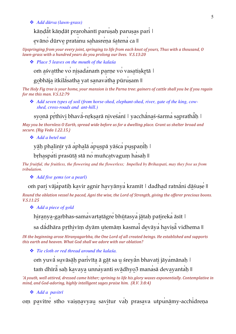*Add dūrva (lawn-grass)*

kāṇḍāt kāṇḍāt prarohantī paruṣaḥ paruṣas pari |

evāno dūrve pratanu sahasreņa śatena ca ||

*Upspringing from your every joint, springing to life from each knot of yours, Thus with a thousand, O lawn-grass with a hundred years do you prolong our lives. V.S.13:20* 

*Place 5 leaves on the mouth of the kalaśa* 

om aśvatthe vo niṣadanam parṇe vo vasatiṣkṛtā |

gobhāja itkilāsatha yat sanavatha pūruṣam ||

*The Holy Fig tree is your home, your mansion is the Parna tree: gainers of cattle shall you be if you regain for me this man. V.S.12:79*

 *Add seven types of soil (from horse-shed, elephant-shed, river, gate of the king, cowshed, cross-roads and ant-hill.)*

syonā pṛthivi bhava-nṛkṣarā niveśanī | yacchanaś-śarma saprathah |

*May* you be thornless O Earth, spread wide before us for a dwelling place. Grant us shelter broad and *secure. (Rig Veda 1.22.15.)*

*Add a betel nut*

yāh phalinīr yā aphalā apuspā yāśca puspanīh |

bṛhaspati prasūtā stā no muñcatvagum hasaḥ ||

*The fruitful, the fruitless, the flowering and the flowerless; Impelled by Brihaspati, may they free us from tribulation.*

*Add five gems (or a pearl)*

om pari vājapatih kavir agnir havyānya kramīt | dadhad ratnāni dāśuṣe ||

*Round the oblation vessel he paced, Agni the wise, the Lord of Strength, giving the offerer precious boons. V.S.11:25*

*Add a piece of gold*

hiranya-garbhas-samavartatāgre bhūtasya jātaḥ patireka āsīt |

sa dādhāra pṛthivīṃ dyām utemāṃ kasmai devāya haviṣā vidhema ||

*IN* the beginning arose Hiranyagarbha, the One Lord of all created beings. He established and supports *this earth and heaven. What God shall we adore with our oblation?* 

*Tie cloth or red thread around the kalaśa.*

om yuvā suvāsāh parivīta ā gāt sa u śreyān bhavati jāyamānah |

tam dhīra saḥ kavaya unnayanti svādhyo3 manasā devayantaḥ ||

*'A* youth, well attired, dressed came hither; sprining to life his glory waxes exponentially. Contemplative in *mind, and God-adoring, highly intelligent sages praise him.* (R.V. 3:8:4)

*Add a pavitrī*

om pavitre stho vaiṣṇavyau savitur vaḥ prasava utpunāmy-acchidreṇa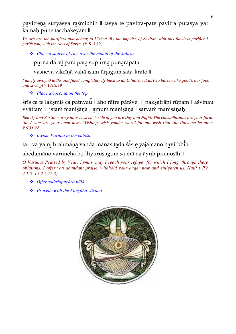pavitreņa sūryasya raśmibhiḥ || tasya te pavitra-pate pavitra pūtasya yat kāmāḥ pune tacchakeyam ||

*Ye two are the purifiers that belong to Vishnu. By the impulse of Savitar, with this flawless purifier I purify you, with the rays of Surya.* (V.S. 1;12)

*Place a saucer of rice over the mouth of the kalaśa*

pūrṇā darvi parā pata supūrṇā punarāpata |

vasneva vikrīnā vahā isam ūrjagum śata-krato ||

*Full, fly away, O ladle, and filled completely fly back to us. O Indra, let us two barter, like goods, our food and strength. V.S.3:49*

*Place a coconut on the top.*

śrīś ca te lakṣmīś ca patnyau | aho rātre pārśve | nakṣatrāṇi rūpam | aśvinau vyāttam | iṣṭaṁ maniṣāṇa | amuṁ maniṣāṇa | sarvaṁ maniṣāṇaḥ ||

*Beauty* and Fortune are your wives: each side of you are Day and Night. The constellations are your form: *the Asvins are your open jaws. Wishing, wish yonder world for me, wish that the Universe be mine. V.S.31:22*

*Invoke Varuṇa in the kalaśa.*

tat tva yāmi brahmaṇā vanda mānas tadā śaste yajamāno havirbhih |

ahedamāno varuneha bodhyuruśagum sa mā na āyuh pramosīh ||

*O Varuna! Praised by Vedic hymns, may I reach your refuge for which I long, through these oblations. I offer you abundant praise, withhold your anger now and enlighten us. Hail! ( RV 4.1.5 TS 2.5.12.3)*

- *Offer ṣoḍaśopacāra pūjā*
- *Procede with the Puṇyāha vācana*

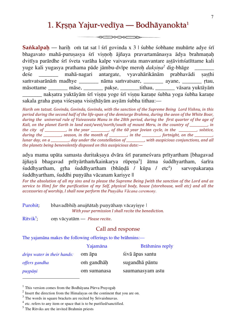### 1. Krsņa Yajur-vedīya — Bodhāyanokta<sup>1</sup>

 $\begin{picture}(150,10) \put(0,0){\line(1,0){10}} \put(15,0){\line(1,0){10}} \put(15,0){\line(1,0){10}} \put(15,0){\line(1,0){10}} \put(15,0){\line(1,0){10}} \put(15,0){\line(1,0){10}} \put(15,0){\line(1,0){10}} \put(15,0){\line(1,0){10}} \put(15,0){\line(1,0){10}} \put(15,0){\line(1,0){10}} \put(15,0){\line(1,0){10}} \put(15,0){\line($ 

**Sankalpah** — harih om tat sat | śrī govinda x 3 | śubhe śobhane muhūrte adye śrī bhagavato mahā-puruṣasya śrī viṣṇoḥ ājñaya pravartamānasya ādya brahmaṇaḥ dvitīya parārdhe śrī śveta varāha kalpe vaivasvata manvantare aṣṭāviṁśatīttame kali yuge kali yugasya prathama pāde jāmbu-dvīpe meroḥ *dakṣiṇa2* dig-bhāge \_\_\_\_\_\_\_ deśe \_\_\_\_\_\_\_ mahā-nagari antargate, vyavahārikānām prabhavādi ṣaṣṭhi saṁvatsarānām madhye \_\_\_\_\_\_\_ nāma saṁvatsare, \_\_\_\_\_\_\_ ayane, \_\_\_\_\_\_\_ rtau, māsottame māse, pakse, tithau, vāsara yuktāyām \_\_\_\_\_\_\_ nakṣatra yuktāyām śrī viṣṇu yoge śrī viṣṇu karaṇe śubha yoga śubha karaṇe sakala graha guna viśesana visisthāyām asyām śubha tithau:—

*Harih* om tatsat. Govinda, Govinda, Govinda, with the sanction of the Supreme Being Lord Vishnu, in this *period during the second half of the life-span of the demiurge Brahma, during the aeon of the White Boar,* during the universal rule of Vaivasvata Manu in the 28th period, during the first quarter of the age of *Kali,* on the planet Earth in land east/west/north/south of mount Meru, in the country of \_\_\_\_\_\_\_, in *the city* of \_\_\_\_\_\_\_\_\_, in the year \_\_\_\_\_\_, of the 60 year Jovian cycle, in the \_\_\_\_\_\_\_, solstice,  $during the \_\_\_\_\_\_\_$ season, in the month of  $\_\_\_\_\_$ , in the  $\_\_\_\_\_$ fortnight, on the  $\_\_\_\_\_\_$ *lunar* day, on a \_\_\_\_\_\_\_\_, day under the constellation of \_\_\_\_\_\_\_\_, with auspicious conjunctions, and all *the planets being benevolently disposed on this ausipicious date:*—

adya mama upāta samasta duritaksaya dvāra śrī parameśvara prītyartham [bhagavad ājñayā bhagavad prītyārthaṁ/kainkarya rūpeṇa<sup>3</sup>] ātma śuddhyartham, śarīra śuddhyartham, gṛha śuddhyartham (bhāndā / kūpa / etc<sup>4</sup>) ) sarvopakaraṇa śuddhyartham, śuddhi punyāha vācanam karisye ||

*For the absolution of all my sins and to please the Supreme Being [with the sanction of the Lord and as service to Him] for the purification of my Self, physical body, house (storehouse, well etc) and all the accessories of worship, I shall now perform the Puṇyāha Vācana ceremony.*

| Purohit; | bhavadbhiḥ anujñātaḥ puṇyāhaṃ vācayiṣye              |
|----------|------------------------------------------------------|
|          | With your permission I shall recite the benediction. |

 $Ritvik<sup>5</sup>$ ; oṃ vācyatām — *Please recite*.

#### Call and response

The yajamāna makes the following offerings to the brāhmins:—

|                                    | Yajamāna    | <b>Brāhmins reply</b> |
|------------------------------------|-------------|-----------------------|
| <i>drips water in their hands:</i> | om āpa      | sivā āpas santu       |
| offers gandha                      | om gandhāh  | sugandhā pāntu        |
| puspāņi                            | om sumanasa | saumanasyam astu      |

<sup>&</sup>lt;sup>1</sup> This version comes from the Bodhāyana Pūrva Prayogah

 $\overline{a}$ 

<sup>2</sup> Insert the direction from the Himalayas on the continent that you are on.

 $3$  The words in square brackets are recited by Srivaishnavas.

<sup>4</sup> etc. refers to any item or space that is to be purified/sanctified.

 $<sup>5</sup>$  The Ritviks are the invited Brahmin priests</sup>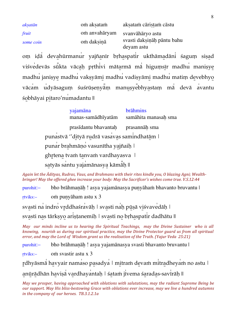| aksatān   | om aksatam    | aksatam cāristam cāstu                   |
|-----------|---------------|------------------------------------------|
| fruit     | om anvahāryam | svanvāhāryo astu                         |
| some coin | om daksinā    | svasti daksināh pāntu bahu<br>deyam astu |

om iḍa devahūrmanur yajñanīr bṛhaspatir ukthāmadāni śagum siṣad viśvedevās sūkta vācaḥ pṛthivi mātarmā mā higuṃsīr madhu maniṣye madhu janişye madhu vakşyāmi madhu vadişyāmi madhu matim devebhyo vācam udyāsagum śuśrūṣeṇyām manuṣyebhyastaṃ mā devā avantu śobhāyai pitaro'numadantu ||

> yajamāna brāhmins manas-samādhīyatām samāhita manasah sma prasīdantu bhavantaḥ prasannāḥ sma puna̍stvā ''di̱tyā ru̱drā vasa̍va̱s sami̍ndhatā̱m | punar brahmāno vasunītha yajñaih | ghrtena tvam tanvam vardhayasva | satyās santu yajamānasya kāmāh ||

Again let the  $\bar{A}$ dityas, Rudras, Vaus, and Brahmans with their rites kindle you, O blazing Agni; Wealth*bringer! May the offered ghee increase your body: May the Sacrificer's wishes come true. V.S.12:44* 

purohit:– bho brāhmaṇāḥ ! asya yajamānasya puṇyāhaṁ bhavanto bruvantu |

ṛtviks:– oṁ puṇyāham astu x 3

svasti na indro vrddhaśravāḥ | svasti naḥ pūṣā viśvavedāḥ |

svasti nas tārksyo aristanemih | svasti no brhaspatir dadhātu ||

*May* our minds incline us to hearing the Spiritual Teachings, may the Divine Sustainer who is all *knowing, nourish us during our spiritual practice, may the Divine Protector guard us from all spiritual error, and may the Lord of Wisdom grant us the realisation of the Truth. (Yajur Veda 25:21)* 

purohit:– bho brāhmaṇāḥ ! asya yajamānasya svasti bhavanto bruvantu |

ṛtviks:– oṁ svastir astu x 3

rdhyāsmā havyair namaso pasadya | mitram devam mitradheyam no astu |

anūrādhān haviṣā vardhayantaḥ | śataṁ jivema śaradas-savirāḥ ||

*May* we prosper, having approached with oblations with salutations, may the radiant Supreme Being be our support. May His bliss-bestowing Grace with oblations ever increase, may we live a hundred autumns *in the company of our heroes. TB.3.1.2.1a*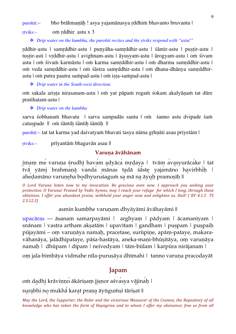purohit:– bho brāhmaṇāḥ ! asya yajamānasya ṛddhiṁ bhavanto bruvantu |

ṛtviks:– oṁ ṛddhir astu x 3

*Drip water on the kumbha, the purohit recites and the ṛtviks respond with "astu!"*

rddhir-astu | samrddhir-astu | punyāha-samrddhir-astu | śāntir-astu | pustir-astu | tuṣṭir-asti | vṛddhir-astu | avighnam-astu | āyuṣyam-astu | ārogyam-astu | oṁ śivam astu | oṁ śivaṁ karmāstu | oṁ karma samṛddhir-astu | oṁ dharma samṛddhir-astu | oṁ veda samṛddhir-astu | oṁ śāstra samṛddhir-astu | oṁ dhana-dhānya samṛddhirastu | oṁ putra pautra saṁpad-astu | oṁ iṣṭa-saṁpad-astu |

*Drip water in the South-west direction.*

oṁ sakala ariṣṭa nirasanam-astu | oṁ yat pāpaṁ rogaṁ śokam akalyāṇaṁ tat dūre pratihatam-astu |

*Drip water on the kumbha*

sarva śobhanam bhavatu | sarva sampadās santu | om śanno astu dvipade śam catuṣpade || oṁ śāntiḥ śāntiḥ śāntiḥ ||

purohit:– tat tat karma yad daivatyaṁ bhavati tasya nāma gṛhṇāti asau priyetām |

ṛtviks:– prīyantāṁ bhagavān asau ||

#### **Varuṇa āvāhānam**

imam me varuṇa śrudhī havam adyāca mṛḍaya | tvām avasyurācake | tat tvā yāmi brahmaṇā vanda mānas tadā śāste yajamāno havirbhiḥ | aheḍamāno varuṇeha bodhyuruśagum sa mā na āyuḥ pramoṣīḥ ||

*O Lord Varuna listen now to my invocation. Be gracious even now. I approach you seeking your protection.* O Varuna! Praised by Vedic hymns, may I reach your refuge for which I long, through these *oblations. I offer you abundant praise, withhold your anger now and enlighten us. Hail!* (*RV 4.1.5 TS 2.5.12.3)*

asmin kumbhe varuṇam dhyāyāmi āvāhayāmi ||

upacāras — āsanam samarpayāmi | arghyam | pādyam | ācamanīyam | snānam | vastra artham aksatām | upavītam | gandham | puspam | puspaih pūjayāmi – oṃ varuṇāya namaḥ, pracetase, surūpiṇe, apāṃ-pataye, makaravāhanāya, jalādhipataye, pāśa-hastāya, aneka-maṇi-bhūṣitāya, oṃ varuṇāya namaḥ | dhūpam | dīpam | neivedyam | tām-būlam | karpūra nirājanam |

oṃ jala-bimbāya vidmahe nīla-puruṣāya dhīmahi | tanno varuṇa pracodayāt

#### Japam

om dadhi krāviņņo ākāriṣaṃ jiṣṇor aśvasya vājinah |

surabhi no mukhā karat praṇa āyūguṁṣi tāriṣat ||

*May* the Lord, the Supporter, the Ruler and the victorious Measurer of the Cosmos, the Repository of all *knowledge who has taken the form of Hayagriva and to whom I offer my obeisance; free us from all*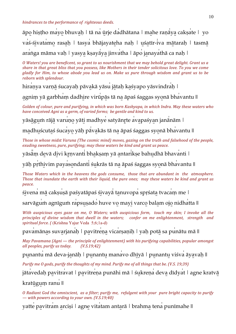#### hindrances to the performance of righteous deeds.

āpo̱ hiṣṭho ma̍yo̱ bhuva̱ḥ | tā na̍ ū ̱rje da̍dhātana | ma̱he raṇā ̍ya̱ cakṣa̍te | yo vaś-śivatamo rasah | tasya bhājayateha nah | uśatīr-iva mātarah | tasmā aranga māma vaḥ | yasya kṣayāya jinvatha | āpo janayathā ca naḥ |

*O* Waters! you are beneficent, so grant to us nourishment that we may behold great delight. Grant us a *share in that great bliss that you possess, like Mothers in their tender solicitous love. To you we come gladly for Him, to whose abode you lead us on. Make us pure through wisdom and grant us to be reborn with splendour.*

hiranya varnā śucayah pāvakā yāsu jātah kasvapo yāsvindrah |

agnim yā garbham dadhire virūpās tā na āpaś śaggas syonā bhavantu ||

Golden of colour, pure and purifying, in which was born Kashyapa, in which Indra. May these waters who *have conceived Agni as a germ, of varied forms; be gentle and kind to us.* 

yāsāgum rājā varuno yāti madhye satyānrte avapaśyan janānām |

madhuścutaś śucayo yāḥ pāvakās tā na āpaś śaggas syonā bhavantu ||

*Those in whose midst Varuna (The cosmic mind) moves, gazing on the truth and falsehood of the people. exuding* sweetness, pure, purifying; may these waters be kind and grant us peace.

yāsām devā divi kŗņvanti bhakṣaṃ yā antarikṣe bahudhā bhavanti |

yāh prthivim payasondanti śukrās tā na āpaś śaggas syonā bhavantu ||

*Those Waters* which in the heavens the gods consume, those that are abundant in the atmosphere. *Those* that inundate the earth with their liquid, the pure ones; may these waters be kind and grant us *peace.*

śivena mā cakṣuṣā paśyatāpaś śivaya tanuvopa spṛśata tvacam me |

sarvāgum agnīgum rapsusado huve vo mayi varco balam ojo nidhatta ||

*With auspicious eyes gaze on me, O Waters; with auspicious form, touch my skin; I invoke all the principles* of divine wisdom that dwell in the waters; confer on me enlightenment, strength and *spiritual force. (* (Krishna Yajur Veda 5;6;1a-d)

pavamānas suvarjanaḥ | pavitreṇa vicarṣaṇiḥ | yah potā sa punātu mā ||

*May Pavamana (Agni* — *the principle of enlightenment)* with his purifying capabilities, popular amongst *all peoples, purify us today. (V.S.19;42)*

punantu mā deva-janāḥ | punantu manavo dhīyā | punantu viśva āyavah ||

*Purify* me *O* gods, purify the thoughts of my mind. Purify me of all things that be. (V.S. 19;39)

jātavedaḥ pavitravat | pavitreṇa punāhi mā | śukreṇa deva dīdyat | agne kratvā

kratūgum ranu ||

*O* Radiant God the omniscient, as a filter; purify me, refulgent with your pure bright capacity to purify  $-$  with powers according to your own. (V.S.19;40)

yatte pavitram arcisi | agne vitatam antarā | brahma tena punīmahe ||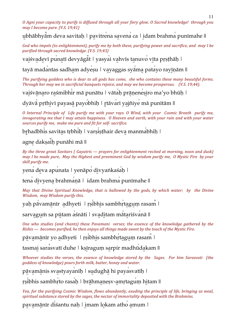*O* Agni your capacity to purify is diffused through all your fiery glow. *O* Sacred knowledge! through you *may I become pure.* (*V.S. 19;41*)

ubhābhyām deva savitaḥ | pavitrena savena ca | idam brahma punīmahe ||

*God* who impels (to enlightenment), purify me by both these, purifying power and sacrifice, and may I be *purified through sacred knowledge. (V.S. 19;43)*

vaiśvadevī punatī devyāgāt | yasyai vahvīs tanuvo vīta pṛṣṭhāḥ |

tayā madantas sadham adyesu | vayaggas syāma patayo rayīnām ||

The purifying goddess who is dear to all gods has come, she who contains these many beautiful forms. *Through her may we in sacrificial banquets rejoice, and may we become prosperous. (V.S. 19;44).* 

vaiśvā na ro raśmibhir mā punātu | vātah prā nenesiro ma'yo bhūh |

dyāvā prthivī payasā payobhih | rtāvarī yajñiye mā punītām ||

*O* Internal Principle of Life purify me with your rays. *O* Wind, with your Cosmic Breath purify me, *invogorating* me that I may attain happiness. O Heaven and earth, with your rain and with your water sources purify me, make me pure and fit for self- sacrifice.

brhadbhis savitas trbhih | varsisthair deva manmabhih |

agne daksaih punāhi mā ||

*By* the three great Savitars ( Gayatris — prayers for enlightenment recited at morning, noon and dusk) *may I be made pure, May the Highest and preeminent God by wisdom purify me, O Mystic Fire by your skill* purify me.

yena̍ de̱va apu̍nata | yenāpo̍ di̱vyaṅkaśa̍ḥ |

tena divyena brahmaṇā | idam brahma punīmahe ||

*May* that Divine Spiritual Knowledge, that is hallowed by the gods, by which water; by the Divine *Wisdom, may Wisdom purify this.* 

yah pā vamānīr adhyeti | rsibhis sambhrtagum rasam |

sarvagum sa pūtam aśnāti | svaditam mātariśvanā ||

*One* who studies (and chants) these Pavamani verses; the essence of the knowledge gathered by the *Rishis* — *becomes purified, he then enjoys all things made sweet by the touch of the Mystic Fire.* 

pāvamānīr yo adhyeti | rṣibhis sambhrtagum rasam |

tasmai sarasvatī duhe | ksīragum sarpir madhūdakam ||

*Whoever studies the verses, the essence of knowledge stored by the Sages. For him Sarasvati (the goddess of knowledge)* pours forth milk, butter, honey and water.

pāvamānis svastyayanīḥ | sudughā hi payasvatīh |

rsibhis sambhrto rasah | brāhmanesv-amrtagum hitam ||

*Yea, for the purifying Cosmic Wisdom, flows abundantly, exuding the principle of life, bringing us weal,* spiritual substance stored by the sages, the nectar of immortality deposited with the Brahmins.

pavamānīr diśantu naḥ | imam lokam atho amum |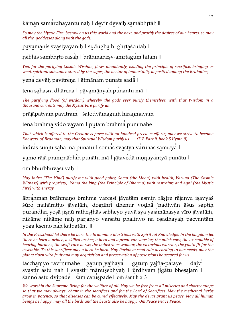kāmān samardhayantu naḥ | devīr devaiḥ samābhṛtāḥ ||

*So* may the Mystic Fire bestow on us this world and the next, and gratify the desires of our hearts, so may *all the goddesses along with the gods.* 

pāvamānis svastyayanīh | sudughā hi ghrtascutah |

rṣibhis sambhrto rasah | brāhmaṇeṣv-amṛtagum hitam ||

*Yea, for the purifying Cosmic Wisdom, flows abundantly, exuding the principle of sacrifice, bringing us weal, spiritual substance stored by the sages, the nectar of immortality deposited among the Brahmins,* 

yena devāḥ pavitreņa | ātmānam punate sada |

tena sahasra dhāreṇa | pāvamānyaḥ punantu mā ||

The purifying flood (of wisdom) whereby the gods ever purify themselves, with that Wisdom in a thousand currents may the Mystic Fire purify us.

prājā patyam pavitram | śatodyā magum hiran mayam |

tena brahma vido vayam | pūtam brahma punīmahe ||

That which is offered to the Creator is pure; with an hundred precious efforts, may we strive to become Knowers-of-Brahman, may that Spiritual Wisdom purify us. (S.V. Part ii, book 5 Hymn 8)

indras sunītī saha mā punātu | somas svastyā varuņas samīcya |

yamo rājā pramṛnābhiḥ punātu mā | jātavedā morjayantyā punātu |

om bhūrbhuvasuvah ||

*May Indra (The Mind) purify me with good polity, Soma (the Moon) with health, Varuna (The Cosmic Witness)* with propriety, Yama the king (the Principle of Dharma) with restraint; and Agni (the Mystic *Fire*) with energy.

ābra̍hman brāhma̱ṇo bra̍hma varca̱sī jāyatā ̱m asmin rā ̱ṣṭre rā ̍ja̱nya̍ iṣa̱vya̍ś śūro mahāratho ja yatām, dogdhrī dhenur voḍha 'nadhvān āśus saptiḥ purandhri yoṣā jiṣṇū ratheṣṭhās sabheyo yuvā'sya yajamānasya vīro jā yatām, nikā me nikā me naḥ parjanyo varṣatu phalinyo na oṣadhayaḥ pacyantām yoga kṣemo naḥ kalpatām ||

In the Priesthood let there be born the Brahmana illustrious with Spiritual Knowledge; In the kingdom let *there be born a prince, a skilled archer, a hero and a great-car-warrior; the milch cow; the ox capable of bearing burdens;* the swift race horse; the industrious woman; the victorious warrior, the youth fit for the *assemble.* To this sacrificer may a hero be born. May Parjanya send rain according to our needs, may the *plants ripen with fruit and may acquisition and preservation of possessions be secured for us.* 

tacchamyo rāvŗņīmahe | gātum yajñāya | gātum yajña-pataye | daivī svastir astu naḥ | svastir mānuṣebhyaḥ | ūrdhvaṃ jigātu bheṣajam | śanno̍ astu dvi̱pade̎ | śaṃ catu̍ṣpade || oṁ śāntiḥ x 3

*We* worship the Supreme Being for the welfare of all. May we be free from all miseries and shortcomings so that we may always chant in the sacrifices and for the Lord of Sacrifices. May the medicinal herbs *grow* in potency, so that diseases can be cured effectively. May the devas grant us peace. May all human *beings be happy, may all the birds and the beasts also be happy. Om Peace Peace Peace.*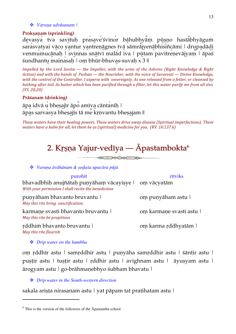#### *Varuṇa udvāsanam |*

#### **Prokṣaṇam (sprinkling)**

devasya tva savituḥ prasave'śvinor bā hubhyam pūsno hastabhyāgum sarasvatyai vāco yantur yantreņā gnes tvā sāmrā į yenā bhisintreāmi | drupadādi venmumucānaḥ | svinnas snātvī malād iva | pūtam pavitrenevājyaṃ | āpas śundhantu̱ maina̍saḥ | oṃ bhūr-bhuva̱s-suvaḥ x 3 ||

*Impelled by the Lord Savita*  $-$  *the Impeller, with the arms of the Ashvins (Right Knowledge & Right Action)* and with the hands of Pushan — the Nourisher, with the voice of Sarasvati — Divine Knowledge, *with* the control of the Controller, I asperse with sovereignty. As one released from a fetter, or cleansed by *bathing after toil.* As butter which has been purified through a filter, let this water purify me from all sins. *(VS. 20;20)*

#### **Prāśanam (drinking)**

āpa̱ idvā u̍ bheṣa̱jīr āpo̎ amīva̱ cānta̍nīḥ | āpa̱s sarva̍sya bheṣa̱jīs tā me̎ kṛṇvantu bheṣa̱jam ||

*These* waters have their healing powers. These waters drive away disease (Spiritual imperfections). These *waters have a balm for all, let them be as (spiritual) medicine for you. (RV. 10.137.6)* 

### 2. Kṛṣṇa Yajur-vedīya — Āpastambokta $^6$

XXXXII

### *Varuṇa āvāhānam & ṣoḍaśa upacāra pūjā*

purohit ritviks bhavadbhiḥ anujñātaḥ puṇyāhaṃ vācayiṣye | oṃ vācyatām *With your permission I shall recite the benediction* puṇyāham bhavanto bruvantu | *May this rite bring sanctification.* oṃ puṇyāham astu | karmaṇe svasti bhavanto bruvantu | *May this rite be propitious* oṃ karmaṇe svasti astu | ṛddhiṁ bhavanto bruvantu | *May this rite flourish* oṃ karma ṛddhyatām |

*Drip water on the kumbha*

 $\overline{a}$ 

oṃ ṛddhīr astu | samṛddhir astu | puṇyāha samṛddhir astu | śāntir astu | puṣṭir astu | tuṣṭir astu | ṛddhir astu | avighnam astu | āyuṣyam astu | ārogyam astu | go-brāhmaṇebhyo śubham bhavatu |

#### *Drip water in the South-western direction*

sakala ariṣṭa nirasanam astu | yat pāpam tat pratihatam astu |

 $6$  This is the version of the followers of the  $\overline{A}$  pastamba school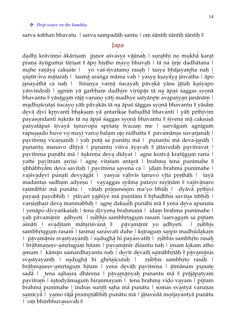#### *Drip water on the kumbha*

sarva śobhan bhavatu | sarva sampadāḥ santu | oṃ śāntiḥ śāntiḥ śāntiḥ ||

#### Japa

dadhi krāviņņo ākāriṣaṃ jiṣṇor aśvasya vājinaḥ | surabhi no mukha karat praṇa āyūguṁṣi tāriṣat || āpo hiṣṭho mayo bhuvaḥ | tā na ūrje dadhātana | mahe raṇāya cakṣate | yo vas-sivatamo rasaḥ | tasya bhājayateha naḥ | uśatīr-iva mātaraḥ | tasmā aranga māma vaḥ | yasya kṣayā ya jinvatha | āpo janayathā ca naḥ | hiraṇya varṇā śucayaḥ pāvakā yāsu jātaḥ kaśyapo yāsvindrah | agnim yā garbham dadhire virūpās tā na āpas saggas syonā bhavantu || yāsāgum rājā varuņo yāti madhye satyānrte avapaśyan janānām | madhuścutaś śucayo yāḥ pāvakās tā na āpaś śāggas syonā bhavantu || yāsām devā divi kṛnvanti bhakṣaṃ yā antarikṣe bahudhā bhavanti | yāḥ pṛthivim payasondanti śukrās tā na āpaś śaggas syonā bhavantu || śivena mā cakṣuṣā paśyatāpaś śi̱vayā ̍ ta̱nuvopa̍ spṛśata̱ tvaca̍ṃ me | sarvāgu̍ṁ agnīguṁ rapsușado huve vo mayi varco balam ojo nidhatta || pavamānas suvarjanaḥ | pavitreņa vicarṣaṇiḥ | yaḥ potā sa punātu mā | punantu mā deva-janāḥ | punantu manavo dhīyā | punantu viśva āyavaḥ || jātavedaḥ pavitravat | pavitreņa punāhi mā | śukreņa deva dīdyat | agne kratvā kratūgum ranu | yatte pavitram arciși | agne vitatam antarā | brahma tena punīmahe || ubhābhyam deva savitaḥ | pavitrena savena ca | idam brahma punīmahe | vaiśvadevī punatī devyāgāt | yasyai vahvīs tanuvo vīta pṛṣṭhāḥ | tayā madantas sadham adyeṣu | vayaggas syāma patayo rayīṇām || vaiśvānaro raśmibhir mā punātu | vātaḥ prāṇeneṣiro ma'yo bhūḥ | dyāvā pṛthivī payasā payobhiḥ | ṛtāvarī yajñiye mā punītām || bṛhadbhis savitas tṛbhiḥ | varṣiṣṭhair deva manmabhiḥ | agne dakṣaiḥ punāhi mā || yena deva apunata | yenāpo divyaṅkaśaḥ | tena divyena brahmaṇā | idam brahma punīmahe | yaḥ pāvamānīr adhyeti | ṛṣibhis sambhṛtagum rasam | sarvagum sa pūtam aśnāti | svaditam mātariśvanā || pāvamānīr yo adhyeti | rṣibhis sambhrtagum rasam | tasmai sarasvatī duhe | kṣī ragum sarpir madhū dakam | pāvamānis svastyayanīḥ | sudughā hi payasvatīḥ | rṣibhis sambhrto rasaḥ | brāhmaṇeṣv-amṛtaguṃ hitam | pavamānīr disantu naḥ | imam lokam atho amum | kāmān samardhayantu naḥ | devīr devaiḥ samābhṛtāḥ || pāvamānis svastyayanīḥ | sudughā hi ghṛtaścutaḥ | rṣibhis sambhrto rasaḥ | brāhmaņeṣv-amṛtaguṃ hitam | yena devāḥ pavitreṇa | ātmānam punate sadā | tena sahasra dhāreṇa | pāvamānyaḥ punantu mā || prājāpatyaṃ pavitram | śatodyā magum̀ hiranmayam | tena brahma vido vayam | pūtam brahma punīmahe | indras sunītī saha mā punātu | somas svastyā varuņas samīcyā | yamo rājā pramṛṇābhiḥ punātu mā | jātavedā morjayantyā punātu | oṃ bhūrbhuva̱suva̍ḥ ||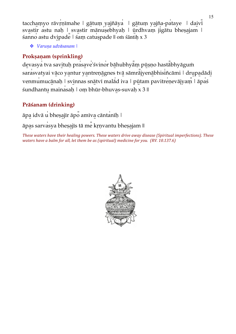tacchamyo rāvŗņīmahe | gātum yajñāya | gātum yajña-pataye | daivi svastir astu naḥ | svastir mānuṣebhyaḥ | ūrdhvaṃ jigātu bheṣajam | śanno̍ astu dvi̱pade̎ | śaṃ catu̍ṣpade || oṁ śāntiḥ x 3

*Varuṇa udvāsanam |*

#### **Prokṣaṇam (sprinkling)**

devasya tva savituḥ prasave'śvinor bā hubhyam pūṣṇo hastabhyāgum sarasvatyai vāco yantur yantreņā gnes tvā sāmra iyenā bhisincāmi | drupadādi venmumucānaḥ | svinnas snātvī malād iva | pūtam pavitrenevājyaṃ | āpas śundhantu mainasaḥ | oṃ bhūr-bhuvas-suvaḥ x 3 ||

### **Prāśanam (drinking)**

āpa̱ idvā u̍ bheṣa̱jīr āpo̎ amīva̱ cānta̍nīḥ |

āpa̱s sarva̍sya bheṣa̱jīs tā me̎ kṛṇvantu bheṣa̱jam ||

*These* waters have their healing powers. These waters drive away disease (Spiritual imperfections). These *waters have a balm for all, let them be as (spiritual) medicine for you.* (RV. 10.137.6)

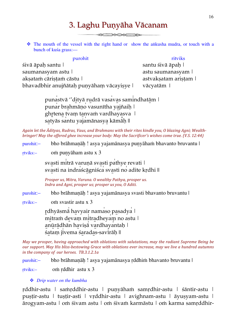### 3. Laghu Puṇyāha Vācanam

**XIII XXIII XXIII XX** 

• The mouth of the vessel with the right hand or show the ankusha mudra, or touch with a bunch of kuśa grass:—

#### purohit ritviks

śivā āpaḥ santu | santu śivā āpaḥ | santu śivā āpaḥ | saumanasyam astu | astu saumanasyam | astu saumanasyam | astu saumanasyam | astu saumanasyam | astu saumanasyam aksataṁ cāristaṁ cāstu | astvaksatam aristam | bhavadbhir anujñātah punyāham vācayisye | vācyatām |

punastvā "dityā rudrā vasavas samindhatām | punar brahmāṇo vasunītha yajñaiḥ | ghṛtena tvaṃ tanvaṁ vardhayasva ∣ satyās santu yajamānasya kāmāḥ ||

Again let the  $\bar{A}$ dityas, Rudras, Vaus, and Brahmans with their rites kindle you, O blazing Agni; Wealth*bringer! May the offered ghee increase your body: May the Sacrificer's wishes come true. (V.S. 12:44)* 

purohit:– bho brāhmaṇāḥ ! asya yajamānasya puṇyāhaṁ bhavanto bruvantu |

ṛtviks:– oṁ puṇyāham astu x 3

svasti mitrā varuņā svasti pathye revati | svasti na indraścāgniśca svasti no adite kṛdhi ||

*Prosper us, Mitra, Varuna. O wealthy Pathya, prosper us.* Indra and Agni, prosper us; prosper us you, O Aditi.

purohit:– bho brāhmaṇāḥ ! asya yajamānasya svasti bhavanto bruvantu |

ṛtviks:– oṁ svastir astu x 3

rdhyāsmā havyair namaso pasadya<sup>|</sup> mitram devam mitradheyam no astu | anūrādhān haviṣā vardhayantaḥ | śatam jīvema śaradas-savīrāh ||

*May* we prosper, having approached with oblations with salutations, may the radiant Supreme Being be *our* support. May His bliss-bestowing Grace with oblations ever increase, may we live a hundred autumns *in the company of our heroes. TB.3.1.2.1a* 

purohit:– bho brāhmaṇāḥ ! asya yajamānasya ṛddhiṁ bhavanto bruvantu |

ṛtviks:– oṁ ṛddhir astu x 3

#### *Drip water on the kumbha*

ṛddhir-astu | saṁṛddhir-astu | puṇyāhaṁ samṛdhir-astu | śāntir-astu | puṣṭir-astu | tuṣṭir-asti | vṛddhir-astu | avighnam-astu | āyuṣyam-astu | ārogyam-astu | oṁ śivam astu | oṁ śivaṁ karmāstu | oṁ karma samṛddhir-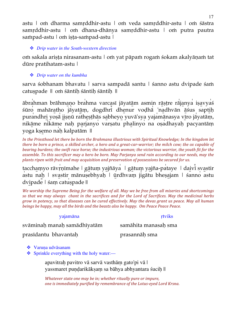astu | oṁ dharma samṛddhir-astu | oṁ veda samṛddhir-astu | oṁ śāstra samṛddhir-astu | oṁ dhana-dhānya samṛddhir-astu | oṁ putra pautra sampad-astu | om iṣṭa-sampad-astu |

#### *Drip water in the South-western direction*

oṁ sakala ariṣṭa nirasanam-astu | oṁ yat pāpaṁ rogaṁ śokam akalyāṇaṁ tat dūre pratihatam-astu |

#### *Drip water on the kumbha*

sarva śobhanam bhavatu | sarva sampadā santu | śanno astu dvipade śam catuṣpade || oṁ śāntiḥ śāntiḥ śāntiḥ ||

ābrahman brāhmaṇo brahma varcasī jāyatām asmin rāṣṭre rājanya iṣavyas śūro mahāratho jā yatām, dogdhrī dhenur voḍhā 'nadhvān āśus saptiḥ purandhri yoṣā jiṣṇū ratheṣṭhās sabheyo yuvā'sya yajamānasya vīro jāyatāṃ, nikā me nikā me naḥ parjanyo varṣatu phalinyo na oṣadhayaḥ pacyantāṃ yoga kṣemo naḥ kalpatām ||

*In* the Priesthood let there be born the Brahmana illustrious with Spiritual Knowledge; In the kingdom let *there be born a prince, a skilled archer, a hero and a great-car-warrior; the milch cow; the ox capable of bearing burdens; the swift race horse; the industrious woman; the victorious warrior, the youth fit for the assemble.* To this sacrificer may a hero be born. May Parjanya send rain according to our needs, may the *plants ripen with fruit and may acquisition and preservation of possessions be secured for us.* 

tacchamyo rāvṛṇīmahe | gātuṃ yajñāya | gātuṃ yajña-pataye | daivi svastir a̍stu naḥ | sva̱stir mānu̍ṣebhyaḥ | ū ̱rdhvaṃ ji̍gātu bheṣa̱jam | śanno̍ astu dvipade | śam catuspade ||

We worship the Supreme Being for the welfare of all. May we be free from all miseries and shortcomings so that we may always chant in the sacrifices and for the Lord of Sacrifices. May the medicinal herbs *grow* in potency, so that diseases can be cured effectively. May the devas grant us peace. May all human *beings be happy, may all the birds and the beasts also be happy. Om Peace Peace Peace.* 

#### yajamāna *reformāna reformāna reformāna reformāna reformāna reformāna reformāna reformāna reformāna reformāna reformāna reformāna reformāna reformāna reformāna reformāna reformāna refo*

svāminaḥ manaḥ samādhīyatām samāhita manasaḥ sma

prasīdantu bhavantaḥ prasannāḥ sma

- ❖ Varuna udvāsanam
- ❖ Sprinkle everything with the holy water:—

apavitraḥ pavitro vā sarvā vasthāṃ gato'pi vā | yassmaret pundarikākṣam sa bāhya abhyantara śucih ||

*Whatever state one may be in; whether ritually pure or impure,* one is immediately purified by remembrance of the Lotus-eyed Lord Krsna.

17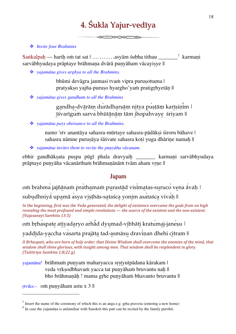## 4. Śukla Yajur-vedīya

**XXXXX—XX** 

#### *Invite four Brahmins*

Saṅkalpah — harih oṁ tat sat  $|$  …………asyām śubha tithau  $\frac{1}{2}$  karmani sarvābhyudaya prāptaye brāhmana dvārā punyāham vācayisye ||

≤X

*yajamāna gives arghya to all the Brahmins.*

bhūmi devāgra janmasi tvam vipra purusottama | pratyakso yajña-puruso hyargho'yaṁ pratigrhyetān ||

*yajamāna gives gandham to all the Brahmins*

gandha-dvārām durādharṣām nitya puṣṭām karīṣiṇīm | ī̱śvarīgu̍ṁ sarva̍ bhūtā̱nā̱ṃ tām i̱hopa̍hvaye̱ śriyam ||

*yajamāna pays obeisance to all the Brahmins.*

namo 'stv anantāya sahasra-mūrtaye sahasra-pādāksi śiroru bāhave | sahasra nāmne purusāya śāśvate sahasra koti yuga dhārine namah ||

*yajamāna invites them to recite the puṇyāha vācanam.*

ebhir gandhākṣata puṣpa pūgī phala dravyaiḥ \_\_\_\_\_\_\_ karmaṇi sarvābhyudaya prāptaye puṇyāha vācanārthaṁ brāhmaṇānāṁ tvām aham vṛṇe ||

#### Japam

om brahma jajñānam prathamam purastād visimatas-suruco vena avaḥ | subudhniyā upamā asya viṣṭhās-sataśca yonim asataśca vivah ||

In the beginning, first was the Veda generated, the delight of existence overcame the gods from on high *revealing* the most profound and simple revelations — the source of the existent and the non-existent. *(Vajasaneyi Samhita 13:3)*

om brhaspate atiyadaryo arhād dyumad-vibhāti kratumaj-janesu |

yaddīda-yaccha vasarta prajāta tad-asmāsu draviņan dhehi citram ||

*O* Brhaspati, who are born of holy order; that Divine Wisdom shall overcome the enemies of the mind, that *wisdom* shall shine glorious, with insight among men. That wisdom shall be resplendent in glory. *(Taittiriya Samhita 1;8;22 g)*

yajamāna<sup>s</sup> brāhmaṁ puṇyam maharyacca sṛṣṭyutpādana kārakam l veda vrksodbhavaṁ yacca tat punyāhaṁ bruvantu nah || bho brāhmaṇāḥ ! mama gṛhe puṇyāhaṁ bhavanto bruvantu ||

ṛtviks:– oṁ puṇyāham astu x 3 ||

 $\overline{a}$ 

 $<sup>7</sup>$  Insert the name of the ceremony of which this is an anga e.g. gṛha praves a (entering a new home)</sup>

<sup>&</sup>lt;sup>8</sup> In case the yajamāṇa is unfamiliar with Sanskrit this part can be recited by the family purohit.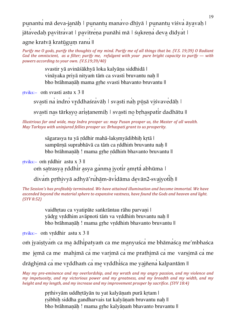punantu mā deva-janāḥ | punantu manavo dhīyā | punantu viśva āyavaḥ | jātavedah pavitravat | pavitrena punāhi mā | śukrena deva dīdyat |

agne kratvā kratūgum ranu ||

*Purify* me O gods, purify the thoughts of my mind. Purify me of all things that be. (V.S. 19:39) O Radiant *God* the omniscient, as a filter; purify me, refulgent with your pure bright capacity to purify — with *powers according to your own.* (V.S.19;39/40)

> svastir yā avināśākhyā loka kalyāna siddhidā | vināyaka priyā nityam tām ca svasti bruvantu nah || bho brāhmaṇāḥ mama gṛhe svasti bhavanto bruvantu ||

ṛtviks:– oṁ svasti astu x 3 ||

svasti na indro vrddhaśravāh | svasti nah pūsā viśvavedāh |

svasti nas tārkṣyo ariṣṭanemiḥ | svasti no bṛhaspatir dadhātu ||

*Illustrious far and wide, may Indra prosper us: may Pusan prosper us, the Master of all wealth. May Tarksya with uninjured fellies prosper us: Brhaspati grant to us prosperity.* 

> sāgarasya tu yā rddhir mahā-laksmyādibhih krtā | sampūrnā suprabhāvā ca tām ca rddhim bruvantu nah || bho brāhmaṇāḥ ! mama gṛhe ṛddhiṁ bhavanto bruvantu ||

ṛtviks:– oṁ ṛddhir astu x 3 ||

om satrasya rddhir asya ganma jyotir amrta abhūma |

divam pṛthivyā adhyā'ruhām-āvidāma devān2-svajyotih ||

The Session's has profitably terminated. We have attained illumination and become immortal. We have *ascended beyond the material sphere to expansive vastness, have found the Gods and heaven and light. (SYV 8:52)*

> vaidhrtau ca vyatipāte saṅkrāntau rāhu parvani | yādrg vrddhim avāpnoti tām va vrddhim bruvantu nah || bho brāhmaṇāḥ ! mama gṛhe vṛddhiṁ bhavanto bruvantu ||

ṛtviks:– oṁ vṛddhir astu x 3 ||

oṁ jyaiṣṭya̍ṁ ca ma̱ ādhi̍patyaṁ ca me ma̱nyuśca̍ me bhāma̍śca̱ me'mbhaśca

me jemā ca me mahimā ca me varimā ca me prathimā ca me varșimā ca me

drāghimā ca me vrddham ca me vrddhiśca me yajñena kalpantām ||

*May* my pre-eminence and my overlordship, and my wrath and my angry passion, and my violence and *my* impetuosity, and my victorious power and my greatness, and my breadth and my width, and my *height and my length, and my increase and my improvement prosper by sacrifice.* (SYV 18:4)

> prthivyām uddhrtāyān tu yat kalyānam purā krtam | rsibhih siddha gandharvais tat kalyānam bruvantu nah || bho brāhmanāh ! mama grhe kalyānam bhavanto bruvantu ||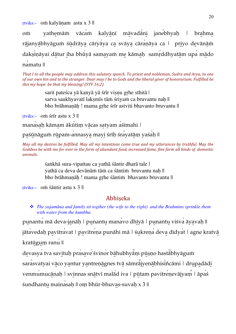ṛtviks:– oṁ kalyāṇam astu x 3 ||

om yathemām vācam kalyānī mā vadāni janebhyah | brahma rājanyā bhyāgum śū drāya cāryāya ca svāya cāraņāya ca | priyo devānā m daksināyai dā tur iha bhū yā samayam me kāmah samrddhyatām upa mādo na̍matu ||

*That I to all the people may address this salutary speech. To priest and nobleman, Sudra and Arya, to one* of our own kin and to the stranger. Dear may I be to Gods and the liberal giver of honorarium. Fulfilled be *this* my hope: be that my blessing! (SYV 16:2)

> sarit pateśca yā kanyā yā śrīr visnu grhe sthitā | sarva saukhyavatī laksmīs tām śriyam ca bruvantu nah || bho brāhmaṇāḥ ! mama gṛhe śrīr astviti bhavanto bruvantu ||

ṛtviks:– oṁ śrīr astu x 3 ||

manasaḥ kāmam ākūtim vācas satyam asīmahi |

paśūnāguṁ rūpam-annasya mayi śrīḥ śrayatām yaśaḥ ||

*May* all my desires be fulfilled. May all my intentions come true and my utterances by truthful. May the Goddess be with me for ever in the form of abundant food, increased fame, fine form all kinds of domestic *animals.*

> śaṅkhā sura-vipattau ca yathā śāntir dharā tale | yathā ca deva devānāṁ tāṁ ca śāntiṁ bruvantu naḥ || bho brāhmaṇāḥ ! mama gṛhe śāntiṁ bhavanto bruvantu ||

ṛtviks:– oṁ śāntir astu x 3 ||

#### **Abhiseka**

 *The yajamāna and family sit togther (the wife to the right) and the Brahmins sprinkle them with water from the kumbha.*

punantu mā deva-janāḥ | punantu manavo dhīyā | punantu viśva āyavaḥ || jātavedaḥ pavitravat | pavitreṇa punāhi mā | śukreṇa deva dīdyat | agne kratvā kratūgum ranu ||

devasya tva savituḥ prasave'śvinor bāhubhyam pūṣṇo hastabhyāgum sarasvatyai vā co yantur yantreņā gnes tvā sāmra iyenā bhisincāmi | drupadā di venmumucānaḥ | svinnas snātvī malād iva | pūtam pavitrenevājyaṃ | āpas śundhantu̱ maina̍saḥ || oṃ bhūr-bhuva̱s-suvaḥ x 3 ||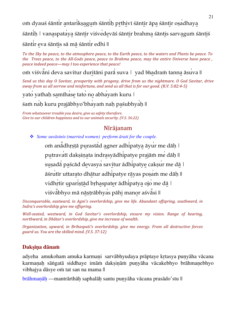om dyauś śāntir antarikṣagum śāntiḥ prthivī śāntir āpa śāntir oṣadhaya śānti̍ḥ | vana̱spata̍ya̱ śānti̱r viśve̍de̱vāś śānti̱r brahma̱ śānti̱s sarva̱guṁ śānti̱ś śāntir eva śāntis sā mā śāntir edhi ||

*To* the Sky be peace, to the atmosphere peace, to the Earth peace, to the waters and Plants be peace. To *the Trees peace, to the All-Gods peace, peace to Brahma peace, may the entire Universe have peace, peace indeed peace—may I too experience that peace!* 

om viśvāni deva savitur duritāni parā suva | yad bhadram tanna āsuva ||

*Send* us this day O Savitar, prosperity with progeny, drive from us the nightmare. O God Savitar, drive *away* from us all sorrow and misfortune, and send us all that is for our good. (R.V. 5:82:4-5)

yato yathaḥ samīhase tato no abhayaṁ kuru |

śam nah kuru prajābhyo'bhayam nah paśubhyah ||

*From whatsoever trouble you desire, give us safety therefore. Give to our children happiness and to our animals security. (V.S. 36:22)* 

#### Nīrājanam

*Some suvāsinis (married women) perform ārati for the couple.*

om anādhrstā purastād agner adhipatya āyur me dāh | putravatī dakṣiṇata indrasyādhipatye prajāṁ me dāḥ || suṣadā paścād devasya savitur ādhipatye cakṣur me dā | āśru̍tīr uttara̱to dhā̱tur adhi̍patye rā̱yas poṣa̍ṁ me dāḥ || vidhrtir uparistād brhaspater ādhipatya ojo me dā | viśvabhyo mā nāṣṭrābhyas pāhi manor aśvasi ||

*Unconquerable, eastward, in Agni's overlordship, give me life. Abundant offspring, southward, in Indra's overlordship give me offspring.* 

*Well-seated, westward, in God Savitar's overlordship, ensure my vision. Range of hearing, northward, in Dhâtar's overlordship, give me increase of wealth.* 

*Organization, upward, in Brihaspati's overlordship, give me energy. From all destructive forces guard us. You are the skilled mind.* (V.S. 37:12)

#### **Dakṣiṇa dānaṁ**

adyeha amukoham amuka karmani sarvābhyudaya prāptaye krtasya punyāha vācana karmaṇaḥ sāṅgatā siddhaye imāṁ dakṣiṇāṁ puṇyāha vācakebhyo brāhmaṇebhyo vibhajya dāsye oṁ tat san na mama ||

brāhmaṇāḥ —mantrārthāḥ saphalāḥ santu puṇyāha vācana prasādo'stu ||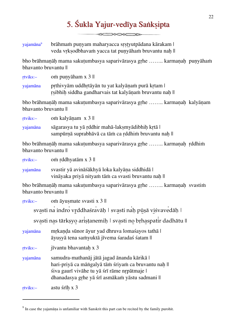## 5. Śukla Yajur-vedīya Sanksipta

 $\begin{picture}(150,10) \put(0,0){\line(1,0){10}} \put(15,0){\line(1,0){10}} \put(15,0){\line(1,0){10}} \put(15,0){\line(1,0){10}} \put(15,0){\line(1,0){10}} \put(15,0){\line(1,0){10}} \put(15,0){\line(1,0){10}} \put(15,0){\line(1,0){10}} \put(15,0){\line(1,0){10}} \put(15,0){\line(1,0){10}} \put(15,0){\line(1,0){10}} \put(15,0){\line($ 

yajamāna9 brāhmam punyam maharyacca srstyutpādana kārakam | veda vrksodbhavaṁ yacca tat punyāhaṁ bruvantu nah ||

bho brāhmanāh mama sakutumbasya saparivārasya grhe …….. karmanah punyāham bhavanto bruvantu ||

ṛtviks:– oṁ puṇyāham x 3 ||

yajamāna prthivyām uddhrtāyān tu yat kalyānam purā krtam | rsibhih siddha gandharvais tat kalyānam bruvantu nah ||

bho brāhmaṇāḥ mama sakuṭumbasya saparivārasya gṛhe …….. karmaṇaḥ kalyāṇam bhavanto bruvantu ||

| rtviks:- | om kalyānam $x$ 3 $\parallel$                                                                         |
|----------|-------------------------------------------------------------------------------------------------------|
| yajamāna | sāgarasya tu yā rddhir mahā-laksmyādibhih krtā l<br>sampūrnā suprabhāvā ca tām ca rddhim bruvantu nah |

bho brāhmaṇāḥ mama sakuṭumbasya saparivārasya gṛhe …….. karmaṇaḥ ṛddhiṁ bhavanto bruvantu ||

ṛtviks:– oṁ ṛddhyatām x 3 ||

 $\overline{a}$ 

yajamāna svastir yā avināśākhyā loka kalyāna siddhidā | vināyaka priyā nityam tām ca svasti bruvantu nah ||

bho brāhmaṇāḥ mama sakuṭumbasya saparivārasya gṛhe …….. karmaṇaḥ svastiṁ bhavanto bruvantu ||

| rtviks:-    | om āyusmate svasti x 3                                                                                                                                                                              |
|-------------|-----------------------------------------------------------------------------------------------------------------------------------------------------------------------------------------------------|
|             | svasti na indro vrddhaśravāh   svasti nah pūșā viśvavedāh                                                                                                                                           |
|             | svasti nas tārksyo aristanemih   svasti no brhaspatir dadhātu                                                                                                                                       |
| yajamāna    | mrkanda sūnor āyur yad dhruva lomašayos tathā  <br>āyusyā tena samyuktā jīvema śaradaś śatam                                                                                                        |
| $rtviks$ :- | jīvantu bhavantah x 3                                                                                                                                                                               |
| yajamāna    | samudra-mathanāj jātā jagad ānanda kārikā  <br>hari-priyā ca māngalyā tām śriyam ca bruvantu nah   <br>śiva gaurī vivāhe tu yā śrī rāme nrpātmaje l<br>dhanadasya grhe yā śrī asmākam yāstu sadmani |
| rtviks:-    | astu śrīh x 3                                                                                                                                                                                       |

<sup>&</sup>lt;sup>9</sup> In case the yajamāna is unfamiliar with Sanskrit this part can be recited by the family purohit.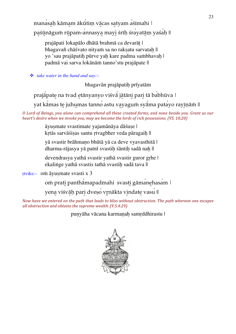manasaḥ kāmam ākūtiṃ vācas satyam asīmahi | paśūnāguṁ rūpam-annasya mayi śrīh śrayatām yaśah ||

prajāpati lokapālo dhātā brahmā ca devarāṭ | bhagavañ chāśvato nityam sa no raksatu sarvatah || yo 'sau prajāpatiḥ pūrve yaḥ kare padma saṁbhavaḥ | padmā vai sarva lokānāṁ tanno'stu prajāpate ||

*take water in the hand and say:–*

bhagavān prajāpatiḥ prīyatām

prajā pate na tvad etānyanyo viśvā jātāni pari tā ba bhūva |

yat kāmas te juhumas tanno astu vayagum syāma patayo rayīņām ||

*O* Lord of Beings, you alone can comprehend all these created forms, and none beside you. Grant us our *heart's desire when we invoke you, may we become the lords of rich possessions. (VS. 10;20)* 

> āyuṣmate svastimate yajamānāya dāśuṣe | krtās sarvāśisas santu rtvagbher veda pāragaih ||

yā svastir brāhmaṇo bhūtā yā ca deve vyavasthitā | dharma-rājasya yā patnī svastih śāntih sadā nah ||

devendrasya yathā svastir yathā svastir guror gṛhe | ekalinge yathā svastis tathā svastih sadā tava ||

ṛtviks:– oṁ āyuṣmate svasti x 3

om prati panthāmapadmahi svasti gāmanehasam |

yena viśvāḥ pari dveṣo vṛnākta vindate vasu ||

*Now have we entered on the path that leads to bliss without obstruction. The path whereon one escapes all obstruction and obtains the supreme wealth. (V.S.4:29)*

punyāha vācana karmanah samrddhirastu |

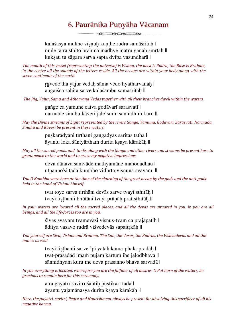### 6. Paurānika Puņyāha Vācanam

 $\begin{picture}(150,10) \put(0,0){\line(1,0){10}} \put(15,0){\line(1,0){10}} \put(15,0){\line(1,0){10}} \put(15,0){\line(1,0){10}} \put(15,0){\line(1,0){10}} \put(15,0){\line(1,0){10}} \put(15,0){\line(1,0){10}} \put(15,0){\line(1,0){10}} \put(15,0){\line(1,0){10}} \put(15,0){\line(1,0){10}} \put(15,0){\line(1,0){10}} \put(15,0){\line($ 

kalaśasya mukhe visnuh kanthe rudra samāśritah | mūle tatra sthito brahmā madhye mātṛu gaṇāḥ smṛtāḥ || kuksau tu sāgara sarva sapta dvīpa vasundharā |

*The mouth of this vessel (representing the universe)* is Vishnu, the neck is Rudra, the Base is Brahma, *in* the centre all the sounds of the letters reside. All the oceans are within your belly along with the *seven continents of the earth.*

> rgvedo'tha yajur vedah sāma vedo hyatharvanah | aṅgaiśca sahita sarve kalaśambu samāśritāh ||

The Rig, Yajur, Sama and Atharvana Vedas together with all their branches dwell within the waters.

gaṅge ca yamune caiva godāvarī sarasvatī | narmade sindhu kāveri jale'smin sannidhiṁ kuru ||

*May* the Divine streams of Light represented by the rivers Gange, Yamuna, Godavari, Sarasvati, Narmada, *Sindhu and Kaveri be present in these waters.*

> puṣkarādyāni tīrthāni gaṅgādyās saritas tathā | āyantu loka śāntyārthaṁ durita kṣaya kārakāḥ ||

*May all the sacred pools, and tanks along with the Ganga and other rivers and streams be present here to* grant peace to the world and to erase my negative impressions.

> deva dānava samvāde mathyamāne mahodadhau | utpanno'si tadā kumbho vidhrto visnunā svayam ||

*You* O Kumbha were born at the time of the churning of the great ocean by the gods and the anti-gods, *held in the hand of Vishnu himself.* 

> tvat toye sarva tirthāni devās sarve tvayi sthitāh | tvayi tiṣṭhanti bhūtāni tvayi prāṇāḥ pratiṣṭhitāḥ ||

In your waters are located all the sacred places, and all the devas are situated in you. In you are all beings, and all the life-forces too are in you.

> śivas svayam tvamevāsi viṣṇus-tvam ca prajāpatiḥ | āditya vasavo rudrā viśvedevās sapaitṛkāḥ ||

*You yourself are Siva, Vishnu and Brahma. The Sun, the Vasus, the Rudras, the Vishvadevas and all the* manes as well.

> tvayi tisthanti sarve 'pi yatah kāma-phala-pradāh | tvat-prasādād imāṁ pūjām kartum ihe jalodbhava || sānnidhyam kuru me deva prasanno bhava sarvadā |

*In you everything is located, wherefore you are the fulfiller of all desires. O* Pot born of the waters, be *gracious to remain here for this ceremony.* 

> atra gāyatrī sāvitrī śāntih pustikari tadā | āyantu yajamānasya durita kṣaya kārakāḥ ||

*Here, the gayatri, savitri, Peace and Nourishment always be present for absolving this sacrificer of all his negative karma.*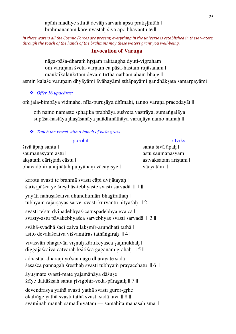apāṁ madhye sthitā devāḥ sarvaṁ apsu pratiṣṭhitāḥ | brāhmaṇānāṁ kare nyastāḥ śivā āpo bhavantu te ||

*In these waters all the Cosmic Forces are present, everything in the universe is established in these waters, through the touch of the hands of the brahmins may these waters grant you well-being.* 

#### **Invocation of Varuna**

nāga-pāśa-dharaṁ hrstaṁ raktaugha dyuti-vigraham | om varunam śveta-varnam ca pāśa-hastam rujāsanam | mauktikālaṅkṛtam devaṁ tīrtha nātham aham bhaje || asmin kalaśe varunam dhyāyāmi āvāhayāmi sthāpayāmi gandhāksata samarpayāmi |

*Offer 16 upacāras:*

om jala-bimbāya vidmahe, nīla-purusāya dhīmahi, tanno varuna pracodayāt ||

oṁ namo namaste sphaṭika prabhāya suśveta vastrāya, sumaṅgalāya supāśa-hastāya jhasāsanāya jalādhināthāya varunāya namo namah ||

*Touch the vessel with a bunch of kuśa grass.*

| purohit                                                                                                                                                          | ritviks             |
|------------------------------------------------------------------------------------------------------------------------------------------------------------------|---------------------|
| sivā āpah santu l                                                                                                                                                | santu śivā āpah l   |
| saumanasyam astu l                                                                                                                                               | astu saumanasyam    |
| aksatam cāristam cāstu l                                                                                                                                         | astvaksatam aristam |
| bhavadbhir anujñātah punyāham vācayisye l                                                                                                                        | vācyatām            |
| karotu svasti te brahmā svasti cāpi dvijātayah l<br>sarīsrpāsca ye sresthās-tebhyaste svasti sarvadā    1                                                        |                     |
| yayāti nahusaścaiva dhundhumāri bhagīrathah  <br>tubhyam rājarsayas sarve svasti kurvantu nityasah    2                                                          |                     |
| svasti te'stu dvipādebhyaś-catuspādebhya eva ca l<br>svasty-astu pāvakebhyas ca sarvebhyas svasti sarvadā    3                                                   |                     |
| svāhā-svadhā śacī caiva laksmīr-arundhatī tathā  <br>asito devalascaiva visvamitras tathāngirah    4                                                             |                     |
| vivasvān bhagavān visnuh kārtikeyasca sanmukhah l<br>diggajāścaiva catvārah kṣitiśca gaganam grahāh   5                                                          |                     |
| adhastād-dharanī yo'sau nāgo dhārayate sadā  <br>śesaśca pannagah śresthah svasti tubhyam prayacchatu   6                                                        |                     |
| āyusmate svasti-mate yajamānāya dāśuse l<br>śrīye dattāśisah santu rtvigbhir-veda-pāragaih    7                                                                  |                     |
| devendrasya yathā svasti yathā svasti guror-grhe l<br>ekalinge yathā svasti tathā svasti sadā tava    8   <br>svāminah manah samādhīyatām — samāhita manasah sma |                     |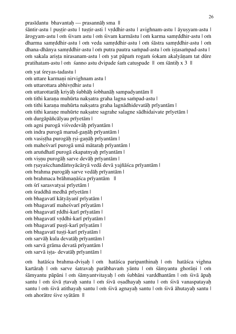prasīdantu bhavantah — prasannāh sma || śāntir-astu | puṣṭir-astu | tuṣṭir-asti | vṛddhir-astu | avighnam-astu | āyuṣyam-astu | ārogyam-astu | oṁ śivam astu | oṁ śivam karmāstu | oṁ karma samṛddhir-astu | oṁ dharma samṛddhir-astu | oṁ veda samṛddhir-astu | oṁ śāstra samṛddhir-astu | oṁ dhana-dhānya samṛddhir-astu | oṁ putra pautra saṁpad-astu | oṁ iṣṭasaṁpad-astu | oṁ sakala ariṣṭa nirasanam-astu | oṁ yat pāpaṁ rogaṁ śokam akalyāṇam tat dūre pratihatam-astu | om śanno astu dvipade śam catuspade || om śāntih x 3 ||

oṁ yat śreyas-tadastu | om uttare karmani nirvighnam astu | oṁ uttarottara abhivṛdhir astu | om uttarottarāh kriyāh śubhāh śobhanāh sampadyantām || oṁ tithi karaṇa muhūrta nakṣatra graha lagna saṁpad-astu | om tithi karana muhūrta naksatra graha lagnādhidevatāh prīyantām | om tithi karane muhūrte naksatre sagrahe salagne sādhidaivate prīyetām | oṁ durgāpāñcālyau prīyetām | oṁ agni purogā viśvedevāḥ prīyantām | oṁ indra purogā marud-gaṇāḥ prīyantām | om vasistha purogāh rsi-ganāh prīyantām | om maheśvarī purogā umā mātarah prīyantām | om aruṅdhatī purogā ekapatnyah prīyantām | oṁ viṣṇu purogāḥ sarve devāḥ prīyantām | oṁ ṛṣayaścchandāṁsyācāryā vedā devā yajñāśca prīyantām | oṁ brahma purogāḥ sarve vedāḥ prīyantām | oṁ brahmaca brāhmaṇāśca prīyantām || oṁ śrī sarasvatyai prīyetām | oṁ śraddhā medhā prīyetām | oṁ bhagavatī kātyāyanī prīyatām | oṁ bhagavatī maheśvarī prīyatām | oṁ bhagavatī ṛddhi-karī prīyatām | oṁ bhagavatī vṛddhi-karī prīyatām | om bhagavatī pusti-karī prīyatām | oṁ bhagavatī tuṣṭi-karī prīyatām | oṁ sarvāḥ kula devatāḥ prīyantām | oṁ sarvā grāma devatā prīyantām | om sarvā ista- devatāh prīyantām |

oṁ hatāśca brahma-dviṣaḥ | oṁ hatāśca paripanthinaḥ | oṁ hatāśca vighna kartārah | om sarve śatravah parābhavam yāntu | om śāmyantu ghorāni | om śāmyantu pāpāni | oṁ śāmyantvitayaḥ | oṁ śubhāni varddhantām | oṁ śivā āpaḥ santu | om śivā rtavah santu | om śivā osadhayah santu | om śivā vanaspatayah santu | om śivā atithayah santu | om śivā agnayah santu | om śivā āhutayah santu | oṁ ahorātre śive syātām ||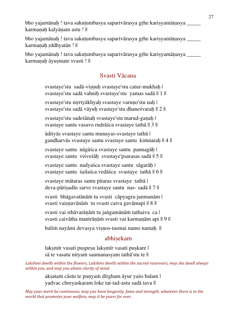bho yajamānah ! tava sakutumbasya saparivārasya grhe karisyamānasya karmanah kalyānam astu ! ||

bho yajamānah ! tava sakutumbasya saparivārasya grhe karisyamānasya \_\_\_\_\_\_ karmanah rddhyatān ! ||

bho yajamānah ! tava sakutumbasya saparivārasya grhe karisyamānasya \_\_\_\_\_\_ karmanah āyusmate svasti ! ||

#### Svasti Vācana

| svastaye'stu sadā-visnuh svastaye'stu catur-mukhah  <br>svastaye'stu sadā vahnih svastaye'stu yamas sadā    1 |
|---------------------------------------------------------------------------------------------------------------|
| svastaye'stu nirrtyākhyah svastaye varuno'stu nah l<br>svastaye'stu sadā vāyuh svastaye'stu dhaneśvarah    2  |
| svastaye'stu sadeśānah svastaye'stu marud-ganah l<br>svastaye santu vasavo rudrāśca svastaye tathā    3       |
| ādityās svastaye santu munayas-svastaye tathā  <br>gandharvās svastaye santu svastaye santu kimnarah    4     |
| svastaye santu nāgāśca svastaye santu pannagāh  <br>svastaye santu viśveśāh svastaye'psarasas sadā    5       |
| svastaye santu nadyaśca svastaye santu sāgarāh  <br>svastaye santu śailaśca vedāśca svastaye tathā    6       |
| svastaye mātaras santu pitaras svastaye tathā  <br>deva-pārisadās sarve svastaye santu nas-sadā    7          |
| svasti bhāgavatānām tu svasti cāpyagra-janmanām l<br>svasti vaisnavānām tu svasti caiva gavāmapi    8         |
| svasti vai sthāvarānām tu jangamānām tathaiva ca l<br>svasti caivātha mantrāņām svasti vai karmaņām api    9  |
| balim nayāmi devasya visnos-tasmai namo namah II                                                              |
| abhisekam                                                                                                     |
|                                                                                                               |

lakṣmīr vasati puṣpeṣu lakṣmīr vasati puskare | sā te vasatu nityaṁ saumanasyam tathā'stu te ||

Lakshmi dwells within the flowers, Lakshmi dwells within the sacred reservoirs, may she dwell always within you, and may you attain clarity of mind.

> aksatam cāstu te punyam dīrgham āyur yaśo balam | yadvac chreyaskaram loke tat-tad-astu sadā tava ||

*May your merit be continuous, may you have longevity, fame and strength, whatever there is in the* world that promotes your welfare, may it be yours for ever.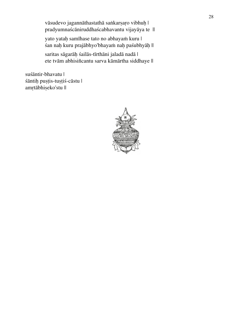vāsudevo jagannāthastathā saṅkarṣaṛo vibhuḥ | pradyumnaścāniruddhaścabhavantu vijayāya te ||

yato yataḥ samīhase tato no abhayaṁ kuru | śan naḥ kuru prajābhyo'bhayaṁ naḥ paśubhyāḥ ||

saritas sāgarāḥ śailās-tīrthāni jaladā nadā | ete tvām abhisiñcantu sarva kāmārtha siddhaye ||

suśāntir-bhavatu | śāntiḥ puṣṭis-tuṣṭiś-cāstu | amṛtābhiṣeko'stu ||

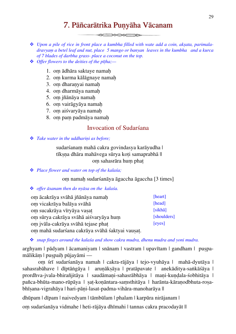### 7. Pāñcarātrika Punyāha Vācanam

**SENSORE DE** 

 *Upon a pile of rice in front place a kumbha filled with wate add a coin, akṣata, parimaladravyaṃ a betel leaf and nut, place 5 mango or banyan leaves in the kumbha and a kurca of 7 blades of darbha grass- place a coconut on the top.*

- *Offer flowers to the deities of the pīṭha;—*
	- 1. oṃ ādhāra saktaye namaḥ
	- 2. oṃ kurma kālāgnaye namaḥ
	- 3. oṃ dharaṇyai namaḥ
	- 4. oṃ dharmāya namaḥ
	- 5. oṃ jñānāya namaḥ
	- 6. oṃ vairāgyāya namaḥ
	- 7. oṃ aiśvaryāya namaḥ
	- 8. om pam padmāya namah

#### Invocation of Sudarśana

#### *Take water in the uddhariṇi as before;*

sudarśanaṃ mahā cakra govindasya karāyudha | tīksna dhāra mahāvega sūrva koti samaprabhā || oṃ sahasrāra huṃ phaṭ

#### *Place flower and water on top of the kalaśa;*

oṃ namaḥ sudarśanāya āgaccha āgaccha [3 times]

#### *offer āsanam then do nyāsa on the kalaśa.*

| om ācakrāya svāhā jñānāya namah                 | [heart]         |
|-------------------------------------------------|-----------------|
| om vicakrāya balāya svāhā                       | [head]          |
| om sucakrāya vīryāya vasat                      | $[sikh\bar{a}]$ |
| om sūrya cakrāya svāhā aiśvaryāya hum           | [shoulders]     |
| om jvāla-cakrāya svāhā tejase phat              | [eyes]          |
| om mahā sudarśana cakrāya svāhā śaktyai vausat. |                 |

*snap finges around the kalaśa and show cakra mudra, dhenu mudra and yoni mudra.*

arghyam | pādyam | ācamaniyam | snānam | vastram | upavītam | gandham | puṣpamālikām | puspaih pūjayāmi —

 oṃ śrī sudarśanāya namah | cakra-rājāya | tejo-vyuhāya | mahā-dyutāya | sahasrabāhave | dīptāṅgāya | aruṇākṣāya | pratāpavate | anekāditya-saṅkāśāya | prordhva-jvala-bhirañjitāya | saudāmaṇi-sahasrābhāya | maṇi-kuṇḍala-śobhitāya | pañca-bhūta-mano-rūpāya | sat-konāntara-samsthitāya | harānta-kāranodbhuta-rosabhīsana-vigrahāya | hari-pāni-lasat-padma-vihāra-manoharāya ||

dhūpam | dīpam | naivedyam | tāmbūlam | phalam | karpūra nirājanam |

oṃ sudarśanāya vidmahe | heti-rājāya dhīmahi | tannas cakra pracodayāt ||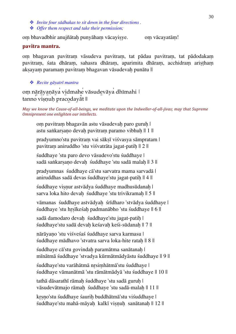- *Invite four sādhakas to sit down in the four directions .*
- *Offer them respect and take their permission;*

om bhavadbhir anujñātah punyāham vācayisye. om vācayatām!

#### **pavitra mantra.**

oṃ bhagavan pavitraṃ vāsudeva pavitraṃ, tat pādau pavitraṃ, tat pādodakaṃ pavitraṃ, śata dhāraṃ, sahasra dhāraṃ, aparimita dhāraṃ, acchidraṃ ariṣṭhaṃ aksayam paramam pavitram bhagavan vāsudevah punātu ||

*Recite gāyatrī mantra*

om nārāyaṇāya vidmahe vāsudevāya dhīmahi | tanno viṣṇuḥ pracodayat ||

*May* we know the Cause-of-all-beings, we meditate upon the Indweller-of-all-jivas; may that Supreme **Omnipresent one enlighten our intellects.** 

om pavitram bhagavān astu vāsudevah paro guruh | astu saṅkarsano devah pavitram paramo vibhuh || 1 ||

pradyumno'stu pavitram vai sāksī višvasya sāmpratam | pavitram aniruddho 'stu viśvatrāta jagat-patih || 2 ||

śuddhaye 'stu paro devo vāsudevo'stu śuddhaye | sadā saṅkarṣaṇo devaḥ śuddhaye 'stu sadā malaḥ || 3 ||

pradyumnas śuddhaye cā'stu sarvatra mama sarvadā | aniruddhas sadā devas śuddhaye'stu jagat-patih || 4 ||

śuddhaye visnur astvādya śuddhaye madhusūdanaḥ | sarva loka hito devah śuddhaye 'stu trivikramah || 5 ||

vāmanas śuddhaye astvādyah śrīdharo 'stvādya śuddhaye | śuddhaye 'stu hṛṣīkeśaḥ padmanābho 'stu śuddhaye || 6 ||

sadā damodaro devah śuddhaye'stu jagat-patih | śuddhaye'stu sadā devaḥ keśavaḥ keśi-sūdanaḥ || 7 ||

nārāyaṇo 'stu viśveśaś śuddhaye sarva karmasu | śuddhaye mādhavo 'stvatra sarva loka-hite rataḥ || 8 ||

śuddhaye cā'stu govindaḥ paramātma sanātanaḥ | mīnātmā śuddhaye 'stvadya kūrmātmādyāstu śuddhaye || 9 ||

śuddhaye'stu varāhātmā nṛsiṃhātmā'stu śuddhaye | śuddhaye vāmanātmā 'stu rāmātmādyā 'stu śuddhaye || 10 ||

tathā dāsarathī rāmah śuddhaye 'stu sadā guruh | vāsudevātmajo rāmaḥ śuddhaye 'stu sadā-malaḥ || 11 ||

krsno'stu śuddhaye śaurih buddhātmā'stu viśuddhaye | śuddhaye'stu mahā-māyah kalkī visnuh sanātanah || 12 ||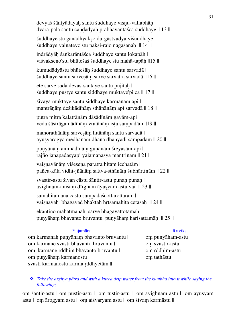devyaś śāntyādayah santu śuddhaye visnu-vallabhāh | dvāra-pāla santu caṇḍādyāḥ prabhavāntāśca śuddhaye || 13 || śuddhaye'stu ganādhyakso durgāstvadya viśuddhaye | śuddhaye vainateyo'stu pakṣi-rājo nāgāśanaḥ || 14 || indrādyāḥ śaṅkarāntāśca śuddhaye santu lokapāḥ | viśvakseno'stu bhūteśaś śuddhaye'stu mahā-tapāḥ ||15 || kumudādyāstu bhūteśāḥ śuddhaye santu sarvadā | śuddhaye santu sarvesām sarve sarvatra sarvadā ||16 || ete sarve sadā devāś-śāntaye santu pūjitāḥ | śuddhaye puṣṭye santu siddhaye muktaye'pi ca || 17 || śivāya muktaye santu siddhaye karmaṇām api | mantrāṇāṃ deśikādīnāṃ sthānānāṃ api sarvadā || 18 || putra mitra kalatrāṇāṃ dāsādīnāṃ gavām-api | veda śāstrāgamādīnām vratānām ista sampadām ||19 || manorathānāṃ sarveṣāṃ hitānāṃ santu sarvadā | āyuṣyārogya medhānāṃ dhana dhānyādi saṃpadām || 20 || punyānām animādīnām gunānām śreyasām-api | rājño janapadasyāpi yajamānasya mantrinām || 21 || vaisnavānām višesena paratra hitam icchatām |

pañca-kāla vidhi-jñānāṃ sattva-sthānāṃ śubhārtinām || 22 ||

svastir-astu śivan cāstu śāntir-astu punah punah | avighnam-aniśam dīrgham āyusyam astu vai || 23 ||

samāhitamanā cāstu saṃpadaścottarottaram | vaisnavāh bhagavad bhaktāh hrtsamāhita cetasah || 24 ||

ekāntino mahātmānaḥ sarve bhāgavattotamāh | puṇyāhaṃ bhavanto bruvantu puṇyāhaṃ harisattamāḥ || 25 ||

#### Yajamāna Rrtviks

om karmanah punyāham bhavanto bruvantu | om punyāham-astu om karmane svasti bhavanto bruvantu | om svastir-astu oṃ karmane ṛddhim bhavanto bruvantu | oṃ ṛddhim-astu oṃ puṇyāhaṃ karmanostu svasti karmanostu karma ṛddhyetām ||

oṃ tathāstu

#### *Take the arghya pātra and with a kurca drip water from the kumbha into it while saying the following;*

om śāntir-astu | om pustir-astu | om tustir-astu | om avighnam astu | om āyusyam astu | oṃ ārogyam astu | oṃ aiśvaryam astu | oṃ śivaṃ karmāstu ||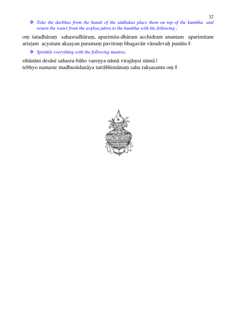*Take the darbhas from the hands of the sādhakas place them on top of the kumbha and return the water from the arghya pātra to the kumbha with the following ;*

oṃ śatadhāraṃ sahasradhāraṃ, aparimita-dhāram acchidram anantam aparimitam ariṣṭam acyutam akṣayan paramaṃ pavitraṃ bhagavān vāsudevaḥ punātu ||

*Sprinkle everything with the following mantra;*

sthānāni desāni sahasra-bāho vareṇya nāmā virajāṃsi nāmā | tebhyo namaste madhusūdanāya tatrābhimānaṃ saha rakṣasantu oṃ ||

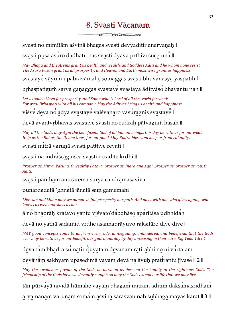### 8. Svasti Vācanam

 $\frac{1}{2}$ 

svasti no mimītām asvinā bhagas svasti devyaditir anarvaṇaḥ |

svasti pūșā asuro dadhātu nas svasti dyāva prthivī sucetuna ||

*May Bhaga and the Asvins grant us health and wealth, and Goddess Aditi and he whom none resist.* The Asura Pusan grant us all prosperity, and Heaven and Earth most wise grant us happiness.

svastaye vāyum upabravāmahe somaggas svasti bhuvanasya yaspatih |

brhaspatigum sarva ganaggas svastaye svastaya ādityāso bhavantu nah ||

Let us solicit Vayu for prosperity, and Soma who is Lord of all the world for weal: *For* weal *Brhaspati* with all his company. May the Adityas bring us health and happiness.

viśve devā no adyā svastaye vaiśvānaro vasuragnis svastaye |

devā avantvṛbhavas svastaye svasti no rudraḥ pātvaguṁ hasaḥ ||

*May* all the Gods, may Agni the beneficent, God of all human beings, this day be with us for our weal. *Help* us the *Rbhus,* the *Divine Ones, for our good.* May *Rudra bless and keep us from calamity.* 

svasti mitrā varunā svasti patthye revati |

svasti na indraścāgniśca svasti no adite krdhi ||

*Prosper us, Mitra, Varuna. O* wealthy Pathya, prosper us. *Indra and Agni, prosper us; prosper us you, O Aditi.*

svasti panthām anucarema sūryā candramasāviva |

punardadatā 'ghnatā jānatā sam gamemahi ||

Like Sun and Moon may we pursue in full prosperity our path, And meet with one who gives again, -who *knows us well and slays us not.* 

ā no bhadrāḥ kratavo yantu viśvato'da bdhāso aparitāsa udbhidah |

devā no yathā sadamid vṛdhe asannapravuvo rakṣitāro dive dive ||

*MAY* good concepts come to us from every side, un-beguiling, unhindered, and beneficial, that the Gods *ever* may be with us for our benefit, our guardians day by day unceasing in their care. Rig Veda 1:89:1

devānām bhadrā sumatir rjūyatām devānām rātirabhi no ni vartatām |

devānām sakhyam upasedimā vayam devā na āyuḥ pratirantu jīvase || 2 ||

*May* the auspicious favour of the Gods be ours, on us descend the bounty of the righteous Gods. The *friendship* of the Gods have we devoutly sought: so may the Gods extend our life that we may live.

tān pūrvayā nividā hūmahe vayam bhagam mitram aditim daksamasridham

aryamaṇaṃ varuṇaṃ somam aśvinā sarasvatī naḥ subhagā mayas karat || 3 ||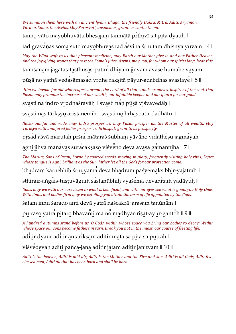We summon them here with an ancient hymn, Bhaga, the friendly Daksa, Mitra, Aditi, Aryaman, *Varuna, Soma, the Asvins. May Sarasvati, auspicious, grant us contentment.* 

tanno vāto mayobhuvātu bheṣajaṃ tanmātā pṛthivī tat pita dyauḥ |

tad grāvānas soma suto mayobhuvas tad asvinā śrnutam dhisnyā yuvam || 4 ||

*May* the Wind waft to us that pleasant medicine, may Earth our Mother give it, and our Father Heaven, *And the joy-giving stones that press the Soma's juice. Asvins, may you, for whom our spirits long, hear this.* 

tamīśānam jagatas-tasthusas-patim dhiyam jinvam avase hūmahe vayam |

pūsā no yathā vedasāmasad vrdhe raksitā pāyur-adabdhas svastaye || 5 ||

*Him* we invoke for aid who reigns supreme, the Lord of all that stands or moves, inspirer of the soul, that *Pusan may promote the increase of our wealth, our infallible keeper and our guard for our good.* 

svasti na indro vṛddhaśravāḥ | svasti naḥ pūṣā viśvavedāh |

svasti nas tārkṣyo ariṣṭanemiḥ | svasti no bṛhaspatir dadhātu ||

*Illustrious far and wide, may Indra prosper us: may Pusan prosper us, the Master of all wealth. May* Tarksya with uninjured fellies prosper us: Brhaspati grant to us prosperity.

prsad aśvā marutah prśni-mātaraś śubham yāvāno vidathesu jagmayah |

agni jihvā manavas sūracaksaso viśveno devā avasā gamanniha || 7 ||

*The Maruts, Sons of Prani, borne by spotted steeds, moving in glory, frequently visiting holy rites, Sages whose tongue is Agni, brilliant as the Sun, hither let all the Gods for our protection come.* 

bhadram karnebhih śrnuyāma devā bhadram paśyemāksibhir-yajatrāh |

sthirair-aṅgais-tuṣṭuvāguṁ sastanūbhiḥ vyaśema devahitam yadāyuh ||

*Gods, may we with our ears listen to what is beneficial, and with our eyes see what is good, you Holy Ones. With* limbs and bodies firm may we extolling you attain the term of life appointed by the Gods.

śatam innu śarado anti devā yatrā naścakrā jarasam tanūnām |

putrāso yatra pitaro bhavanti mā no madhyārīriṣat-āyur-gantoḥ || 9 ||

*A* hundred autumns stand before us, *O* Gods, within whose space you bring our bodies to decay; Within *whose space our sons become fathers in turn. Break you not in the midst, our course of fleeting life.* 

aditir dyaur aditir antarikṣaṃ aditir mātā sa pita sa putraḥ |

viśvedevāh aditi pañca-janā aditir jātam aditir janitvam || 10 ||

Aditi is the heaven, Aditi is mid-air, Aditi is the Mother and the Sire and Son. Aditi is all Gods, Aditi five*classed men. Aditi all that has been born and shall be born.*